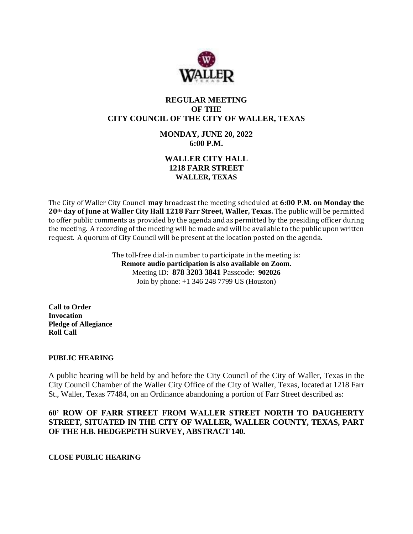

# **REGULAR MEETING OF THE CITY COUNCIL OF THE CITY OF WALLER, TEXAS**

# **MONDAY, JUNE 20, 2022 6:00 P.M.**

# **WALLER CITY HALL 1218 FARR STREET WALLER, TEXAS**

The City of Waller City Council **may** broadcast the meeting scheduled at **6:00 P.M. on Monday the 20th day of June at Waller City Hall 1218 Farr Street, Waller, Texas.** The public will be permitted to offer public comments as provided by the agenda and as permitted by the presiding officer during the meeting. A recording of the meeting will be made and will be available to the public upon written request. A quorum of City Council will be present at the location posted on the agenda.

> The toll-free dial-in number to participate in the meeting is: **Remote audio participation is also available on Zoom.** Meeting ID: **878 3203 3841** Passcode: **902026** Join by phone: +1 346 248 7799 US (Houston)

**Call to Order Invocation Pledge of Allegiance Roll Call**

### **PUBLIC HEARING**

A public hearing will be held by and before the City Council of the City of Waller, Texas in the City Council Chamber of the Waller City Office of the City of Waller, Texas, located at 1218 Farr St., Waller, Texas 77484, on an Ordinance abandoning a portion of Farr Street described as:

## **60' ROW OF FARR STREET FROM WALLER STREET NORTH TO DAUGHERTY STREET, SITUATED IN THE CITY OF WALLER, WALLER COUNTY, TEXAS, PART OF THE H.B. HEDGEPETH SURVEY, ABSTRACT 140.**

**CLOSE PUBLIC HEARING**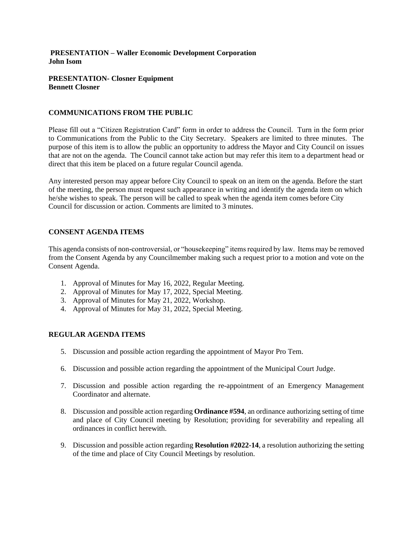### **PRESENTATION – Waller Economic Development Corporation John Isom**

### **PRESENTATION- Closner Equipment Bennett Closner**

### **COMMUNICATIONS FROM THE PUBLIC**

Please fill out a "Citizen Registration Card" form in order to address the Council. Turn in the form prior to Communications from the Public to the City Secretary. Speakers are limited to three minutes. The purpose of this item is to allow the public an opportunity to address the Mayor and City Council on issues that are not on the agenda. The Council cannot take action but may refer this item to a department head or direct that this item be placed on a future regular Council agenda.

Any interested person may appear before City Council to speak on an item on the agenda. Before the start of the meeting, the person must request such appearance in writing and identify the agenda item on which he/she wishes to speak. The person will be called to speak when the agenda item comes before City Council for discussion or action. Comments are limited to 3 minutes.

### **CONSENT AGENDA ITEMS**

This agenda consists of non-controversial, or "housekeeping" items required by law. Items may be removed from the Consent Agenda by any Councilmember making such a request prior to a motion and vote on the Consent Agenda.

- 1. Approval of Minutes for May 16, 2022, Regular Meeting.
- 2. Approval of Minutes for May 17, 2022, Special Meeting.
- 3. Approval of Minutes for May 21, 2022, Workshop.
- 4. Approval of Minutes for May 31, 2022, Special Meeting.

### **REGULAR AGENDA ITEMS**

- 5. Discussion and possible action regarding the appointment of Mayor Pro Tem.
- 6. Discussion and possible action regarding the appointment of the Municipal Court Judge.
- 7. Discussion and possible action regarding the re-appointment of an Emergency Management Coordinator and alternate.
- 8. Discussion and possible action regarding **Ordinance #594**, an ordinance authorizing setting of time and place of City Council meeting by Resolution; providing for severability and repealing all ordinances in conflict herewith.
- 9. Discussion and possible action regarding **Resolution #2022-14**, a resolution authorizing the setting of the time and place of City Council Meetings by resolution.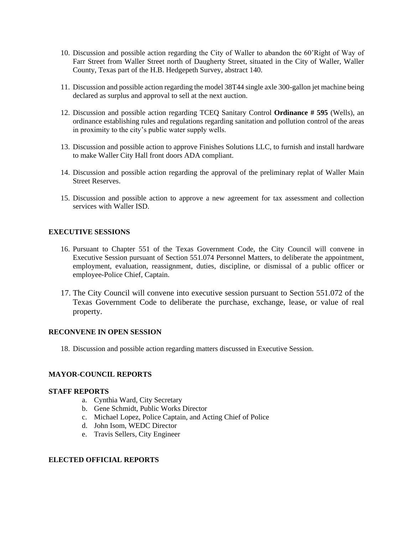- 10. Discussion and possible action regarding the City of Waller to abandon the 60'Right of Way of Farr Street from Waller Street north of Daugherty Street, situated in the City of Waller, Waller County, Texas part of the H.B. Hedgepeth Survey, abstract 140.
- 11. Discussion and possible action regarding the model 38T44 single axle 300-gallon jet machine being declared as surplus and approval to sell at the next auction.
- 12. Discussion and possible action regarding TCEQ Sanitary Control **Ordinance # 595** (Wells), an ordinance establishing rules and regulations regarding sanitation and pollution control of the areas in proximity to the city's public water supply wells.
- 13. Discussion and possible action to approve Finishes Solutions LLC, to furnish and install hardware to make Waller City Hall front doors ADA compliant.
- 14. Discussion and possible action regarding the approval of the preliminary replat of Waller Main Street Reserves.
- 15. Discussion and possible action to approve a new agreement for tax assessment and collection services with Waller ISD.

### **EXECUTIVE SESSIONS**

- 16. Pursuant to Chapter 551 of the Texas Government Code, the City Council will convene in Executive Session pursuant of Section 551.074 Personnel Matters, to deliberate the appointment, employment, evaluation, reassignment, duties, discipline, or dismissal of a public officer or employee-Police Chief, Captain.
- 17. The City Council will convene into executive session pursuant to Section 551.072 of the Texas Government Code to deliberate the purchase, exchange, lease, or value of real property.

#### **RECONVENE IN OPEN SESSION**

18. Discussion and possible action regarding matters discussed in Executive Session.

#### **MAYOR-COUNCIL REPORTS**

#### **STAFF REPORTS**

- a. Cynthia Ward, City Secretary
- b. Gene Schmidt, Public Works Director
- c. Michael Lopez, Police Captain, and Acting Chief of Police
- d. John Isom, WEDC Director
- e. Travis Sellers, City Engineer

### **ELECTED OFFICIAL REPORTS**